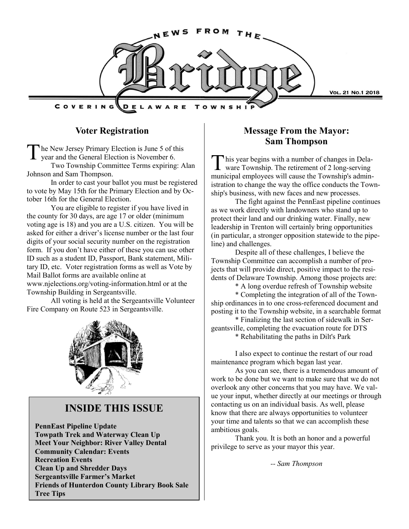

### **Voter Registration**

The New Jersey Primary Election is June 5 of the year and the General Election is November 6. he New Jersey Primary Election is June 5 of this Two Township Committee Terms expiring: Alan

Johnson and Sam Thompson. In order to cast your ballot you must be registered to vote by May 15th for the Primary Election and by October 16th for the General Election.

You are eligible to register if you have lived in the county for 30 days, are age 17 or older (minimum voting age is 18) and you are a U.S. citizen. You will be asked for either a driver's license number or the last four digits of your social security number on the registration form. If you don't have either of these you can use other ID such as a student ID, Passport, Bank statement, Military ID, etc. Voter registration forms as well as Vote by Mail Ballot forms are available online at www.njelections.org/voting-information.html or at the Township Building in Sergeantsville.

All voting is held at the Sergeantsville Volunteer Fire Company on Route 523 in Sergeantsville.



## **INSIDE THIS ISSUE**

**PennEast Pipeline Update Towpath Trek and Waterway Clean Up Meet Your Neighbor: River Valley Dental Community Calendar: Events Recreation Events Clean Up and Shredder Days Sergeantsville Farmer's Market Friends of Hunterdon County Library Book Sale Tree Tips**

### **Message From the Mayor: Sam Thompson**

T his year begins with a number of changes in Delaware Township. The retirement of 2 long-serving municipal employees will cause the Township's administration to change the way the office conducts the Township's business, with new faces and new processes.

The fight against the PennEast pipeline continues as we work directly with landowners who stand up to protect their land and our drinking water. Finally, new leadership in Trenton will certainly bring opportunities (in particular, a stronger opposition statewide to the pipeline) and challenges.

Despite all of these challenges, I believe the Township Committee can accomplish a number of projects that will provide direct, positive impact to the residents of Delaware Township. Among those projects are:

\* A long overdue refresh of Township website

\* Completing the integration of all of the Township ordinances in to one cross-referenced document and posting it to the Township website, in a searchable format

\* Finalizing the last section of sidewalk in Sergeantsville, completing the evacuation route for DTS

\* Rehabilitating the paths in Dilt's Park

I also expect to continue the restart of our road maintenance program which began last year.

As you can see, there is a tremendous amount of work to be done but we want to make sure that we do not overlook any other concerns that you may have. We value your input, whether directly at our meetings or through contacting us on an individual basis. As well, please know that there are always opportunities to volunteer your time and talents so that we can accomplish these ambitious goals.

Thank you. It is both an honor and a powerful privilege to serve as your mayor this year.

*-- Sam Thompson*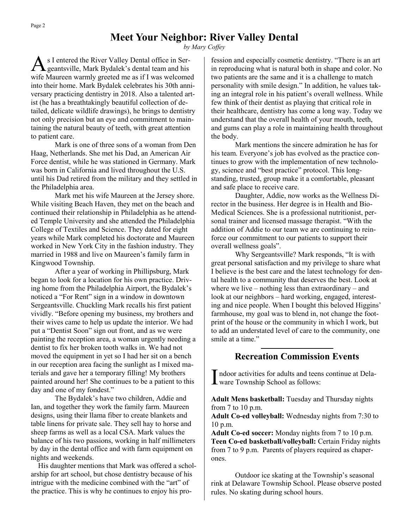# **Meet Your Neighbor: River Valley Dental**

*by Mary Coffey*

As I entered the River Valley Dental office in Ser-<br>geantsville, Mark Bydalek's dental team and his s I entered the River Valley Dental office in Serwife Maureen warmly greeted me as if I was welcomed into their home. Mark Bydalek celebrates his 30th anniversary practicing dentistry in 2018. Also a talented artist (he has a breathtakingly beautiful collection of detailed, delicate wildlife drawings), he brings to dentistry not only precision but an eye and commitment to maintaining the natural beauty of teeth, with great attention to patient care.

Mark is one of three sons of a woman from Den Haag, Netherlands. She met his Dad, an American Air Force dentist, while he was stationed in Germany. Mark was born in California and lived throughout the U.S. until his Dad retired from the military and they settled in the Philadelphia area.

Mark met his wife Maureen at the Jersey shore. While visiting Beach Haven, they met on the beach and continued their relationship in Philadelphia as he attended Temple University and she attended the Philadelphia College of Textiles and Science. They dated for eight years while Mark completed his doctorate and Maureen worked in New York City in the fashion industry. They married in 1988 and live on Maureen's family farm in Kingwood Township.

After a year of working in Phillipsburg, Mark began to look for a location for his own practice. Driving home from the Philadelphia Airport, the Bydalek's noticed a "For Rent" sign in a window in downtown Sergeantsville. Chuckling Mark recalls his first patient vividly. "Before opening my business, my brothers and their wives came to help us update the interior. We had put a "Dentist Soon" sign out front, and as we were painting the reception area, a woman urgently needing a dentist to fix her broken tooth walks in. We had not moved the equipment in yet so I had her sit on a bench in our reception area facing the sunlight as I mixed materials and gave her a temporary filling! My brothers painted around her! She continues to be a patient to this day and one of my fondest."

The Bydalek's have two children, Addie and Ian, and together they work the family farm. Maureen designs, using their llama fiber to create blankets and table linens for private sale. They sell hay to horse and sheep farms as well as a local CSA. Mark values the balance of his two passions, working in half millimeters by day in the dental office and with farm equipment on nights and weekends.

 His daughter mentions that Mark was offered a scholarship for art school, but chose dentistry because of his intrigue with the medicine combined with the "art" of the practice. This is why he continues to enjoy his profession and especially cosmetic dentistry. "There is an art in reproducing what is natural both in shape and color. No two patients are the same and it is a challenge to match personality with smile design." In addition, he values taking an integral role in his patient's overall wellness. While few think of their dentist as playing that critical role in their healthcare, dentistry has come a long way. Today we understand that the overall health of your mouth, teeth, and gums can play a role in maintaining health throughout the body.

Mark mentions the sincere admiration he has for his team. Everyone's job has evolved as the practice continues to grow with the implementation of new technology, science and "best practice" protocol. This longstanding, trusted, group make it a comfortable, pleasant and safe place to receive care.

Daughter, Addie, now works as the Wellness Director in the business. Her degree is in Health and Bio-Medical Sciences. She is a professional nutritionist, personal trainer and licensed massage therapist. "With the addition of Addie to our team we are continuing to reinforce our commitment to our patients to support their overall wellness goals".

Why Sergeantsville? Mark responds, "It is with great personal satisfaction and my privilege to share what I believe is the best care and the latest technology for dental health to a community that deserves the best. Look at where we live – nothing less than extraordinary – and look at our neighbors – hard working, engaged, interesting and nice people. When I bought this beloved Higgins' farmhouse, my goal was to blend in, not change the footprint of the house or the community in which I work, but to add an understated level of care to the community, one smile at a time."

### **Recreation Commission Events**

Indoor activities for adults and teen<br>ware Township School as follows: ndoor activities for adults and teens continue at Dela-

**Adult Mens basketball:** Tuesday and Thursday nights from 7 to 10 p.m.

**Adult Co-ed volleyball:** Wednesday nights from 7:30 to 10 p.m.

**Adult Co-ed soccer:** Monday nights from 7 to 10 p.m. **Teen Co-ed basketball/volleyball:** Certain Friday nights from 7 to 9 p.m. Parents of players required as chaperones.

Outdoor ice skating at the Township's seasonal rink at Delaware Township School. Please observe posted rules. No skating during school hours.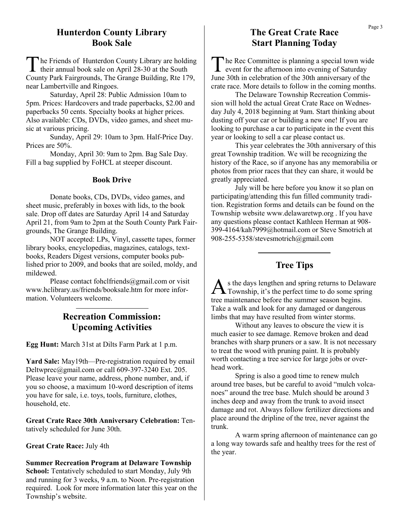### **Hunterdon County Library Book Sale**

T he Friends of Hunterdon County Library are holding their annual book sale on April 28-30 at the South County Park Fairgrounds, The Grange Building, Rte 179, near Lambertville and Ringoes.

Saturday, April 28: Public Admission 10am to 5pm. Prices: Hardcovers and trade paperbacks, \$2.00 and paperbacks 50 cents. Specialty books at higher prices. Also available: CDs, DVDs, video games, and sheet music at various pricing.

Sunday, April 29: 10am to 3pm. Half-Price Day. Prices are 50%.

Monday, April 30: 9am to 2pm. Bag Sale Day. Fill a bag supplied by FoHCL at steeper discount.

#### **Book Drive**

Donate books, CDs, DVDs, video games, and sheet music, preferably in boxes with lids, to the book sale. Drop off dates are Saturday April 14 and Saturday April 21, from 9am to 2pm at the South County Park Fairgrounds, The Grange Building.

NOT accepted: LPs, Vinyl, cassette tapes, former library books, encyclopedias, magazines, catalogs, textbooks, Readers Digest versions, computer books published prior to 2009, and books that are soiled, moldy, and mildewed.

Please contact fohclfriends@gmail.com or visit www.hclibrary.us/friends/booksale.htm for more information. Volunteers welcome.

## **Recreation Commission: Upcoming Activities**

**Egg Hunt:** March 31st at Dilts Farm Park at 1 p.m.

**Yard Sale:** May19th—Pre-registration required by email Deltwprec@gmail.com or call 609-397-3240 Ext. 205. Please leave your name, address, phone number, and, if you so choose, a maximum 10-word description of items you have for sale, i.e. toys, tools, furniture, clothes, household, etc.

**Great Crate Race 30th Anniversary Celebration:** Tentatively scheduled for June 30th.

#### **Great Crate Race:** July 4th

**Summer Recreation Program at Delaware Township School:** Tentatively scheduled to start Monday, July 9th and running for 3 weeks, 9 a.m. to Noon. Pre-registration required. Look for more information later this year on the Township's website.

### **The Great Crate Race Start Planning Today**

T he Rec Committee is planning a special town wide event for the afternoon into evening of Saturday June 30th in celebration of the 30th anniversary of the crate race. More details to follow in the coming months.

The Delaware Township Recreation Commission will hold the actual Great Crate Race on Wednesday July 4, 2018 beginning at 9am. Start thinking about dusting off your car or building a new one! If you are looking to purchase a car to participate in the event this year or looking to sell a car please contact us.

This year celebrates the 30th anniversary of this great Township tradition. We will be recognizing the history of the Race, so if anyone has any memorabilia or photos from prior races that they can share, it would be greatly appreciated.

July will be here before you know it so plan on participating/attending this fun filled community tradition. Registration forms and details can be found on the Township website www.delawaretwp.org . If you have any questions please contact Kathleen Herman at 908- 399-4164/kah7999@hotmail.com or Steve Smotrich at 908-255-5358/stevesmotrich@gmail.com

#### **Tree Tips**

As the days lengthen and spring returns to Delaware<br>Township, it's the perfect time to do some spring s the days lengthen and spring returns to Delaware tree maintenance before the summer season begins. Take a walk and look for any damaged or dangerous limbs that may have resulted from winter storms.

Without any leaves to obscure the view it is much easier to see damage. Remove broken and dead branches with sharp pruners or a saw. It is not necessary to treat the wood with pruning paint. It is probably worth contacting a tree service for large jobs or overhead work.

Spring is also a good time to renew mulch around tree bases, but be careful to avoid "mulch volcanoes" around the tree base. Mulch should be around 3 inches deep and away from the trunk to avoid insect damage and rot. Always follow fertilizer directions and place around the dripline of the tree, never against the trunk.

A warm spring afternoon of maintenance can go a long way towards safe and healthy trees for the rest of the year.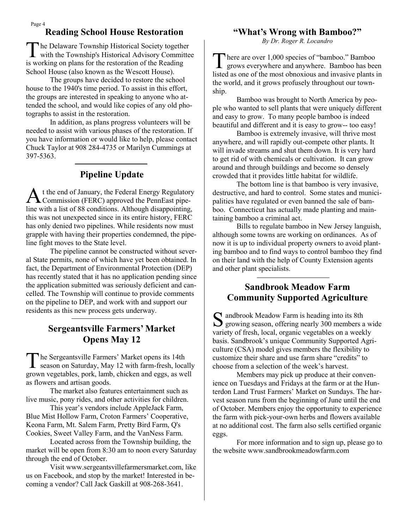# **Reading School House Restoration**

The Delaware Township Historical Society together<br>with the Township's Historical Advisory Committee he Delaware Township Historical Society together is working on plans for the restoration of the Reading School House (also known as the Wescott House).

The groups have decided to restore the school house to the 1940's time period. To assist in this effort, the groups are interested in speaking to anyone who attended the school, and would like copies of any old photographs to assist in the restoration.

In addition, as plans progress volunteers will be needed to assist with various phases of the restoration. If you have information or would like to help, please contact Chuck Taylor at 908 284-4735 or Marilyn Cummings at 397-5363.

#### **Pipeline Update**

A t the end of January, the Federal Energy Regulatory Commission (FERC) approved the PennEast pipeline with a list of 88 conditions. Although disappointing, this was not unexpected since in its entire history, FERC has only denied two pipelines. While residents now must grapple with having their properties condemned, the pipeline fight moves to the State level.

The pipeline cannot be constructed without several State permits, none of which have yet been obtained. In fact, the Department of Environmental Protection (DEP) has recently stated that it has no application pending since the application submitted was seriously deficient and cancelled. The Township will continue to provide comments on the pipeline to DEP, and work with and support our residents as this new process gets underway.

### **Sergeantsville Farmers' Market Opens May 12**

T he Sergeantsville Farmers' Market opens its 14th season on Saturday, May 12 with farm-fresh, locally grown vegetables, pork, lamb, chicken and eggs, as well as flowers and artisan goods.

The market also features entertainment such as live music, pony rides, and other activities for children.

This year's vendors include AppleJack Farm, Blue Mist Hollow Farm, Croton Farmers' Cooperative, Keona Farm, Mt. Salem Farm, Pretty Bird Farm, Q's Cookies, Sweet Valley Farm, and the VanNess Farm.

Located across from the Township building, the market will be open from 8:30 am to noon every Saturday through the end of October.

Visit www.sergeantsvillefarmersmarket.com, like us on Facebook, and stop by the market! Interested in becoming a vendor? Call Jack Gaskill at 908-268-3641.

#### **"What's Wrong with Bamboo?"**

*By Dr. Roger R. Locandro*

There are over 1,000 species of "bamboo." Bamboo grows everywhere and anywhere. Bamboo has been here are over 1,000 species of "bamboo." Bamboo listed as one of the most obnoxious and invasive plants in the world, and it grows profusely throughout our township.

Bamboo was brought to North America by people who wanted to sell plants that were uniquely different and easy to grow. To many people bamboo is indeed beautiful and different and it is easy to grow-- too easy!

Bamboo is extremely invasive, will thrive most anywhere, and will rapidly out-compete other plants. It will invade streams and shut them down. It is very hard to get rid of with chemicals or cultivation. It can grow around and through buildings and become so densely crowded that it provides little habitat for wildlife.

The bottom line is that bamboo is very invasive, destructive, and hard to control. Some states and municipalities have regulated or even banned the sale of bamboo. Connecticut has actually made planting and maintaining bamboo a criminal act.

Bills to regulate bamboo in New Jersey languish, although some towns are working on ordinances. As of now it is up to individual property owners to avoid planting bamboo and to find ways to control bamboo they find on their land with the help of County Extension agents and other plant specialists.

### **Sandbrook Meadow Farm Community Supported Agriculture**

S andbrook Meadow Farm is heading into its 8th<br>growing season, offering nearly 300 members a growing season, offering nearly 300 members a wide variety of fresh, local, organic vegetables on a weekly basis. Sandbrook's unique Community Supported Agriculture (CSA) model gives members the flexibility to customize their share and use farm share "credits" to choose from a selection of the week's harvest.

Members may pick up produce at their convenience on Tuesdays and Fridays at the farm or at the Hunterdon Land Trust Farmers' Market on Sundays. The harvest season runs from the beginning of June until the end of October. Members enjoy the opportunity to experience the farm with pick-your-own herbs and flowers available at no additional cost. The farm also sells certified organic eggs.

For more information and to sign up, please go to the website www.sandbrookmeadowfarm.com

Page 4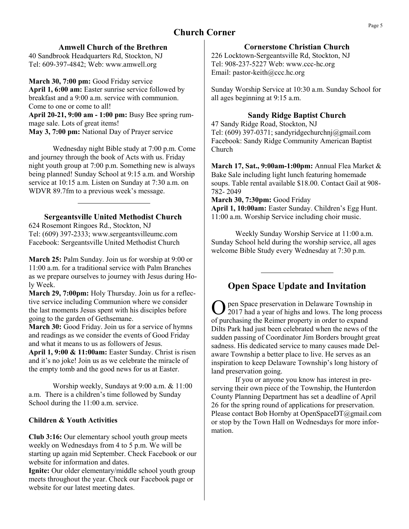# **Church Corner**

#### **Amwell Church of the Brethren**

40 Sandbrook Headquarters Rd, Stockton, NJ Tel: 609-397-4842; Web: www.amwell.org

March 30, 7:00 pm: Good Friday service **April 1, 6:00 am:** Easter sunrise service followed by breakfast and a 9:00 a.m. service with communion. Come to one or come to all!

**April 20-21, 9:00 am - 1:00 pm:** Busy Bee spring rummage sale. Lots of great items! **May 3, 7:00 pm:** National Day of Prayer service

Wednesday night Bible study at 7:00 p.m. Come and journey through the book of Acts with us. Friday night youth group at 7:00 p.m. Something new is always being planned! Sunday School at 9:15 a.m. and Worship service at 10:15 a.m. Listen on Sunday at 7:30 a.m. on

WDVR 89.7fm to a previous week's message.

**Sergeantsville United Methodist Church**

624 Rosemont Ringoes Rd., Stockton, NJ Tel: (609) 397-2333; www.sergeantsvilleumc.com Facebook: Sergeantsville United Methodist Church

**March 25:** Palm Sunday. Join us for worship at 9:00 or 11:00 a.m. for a traditional service with Palm Branches as we prepare ourselves to journey with Jesus during Holy Week.

**March 29, 7:00pm:** Holy Thursday. Join us for a reflective service including Communion where we consider the last moments Jesus spent with his disciples before going to the garden of Gethsemane.

**March 30:** Good Friday. Join us for a service of hymns and readings as we consider the events of Good Friday and what it means to us as followers of Jesus.

**April 1, 9:00 & 11:00am:** Easter Sunday. Christ is risen and it's no joke! Join us as we celebrate the miracle of the empty tomb and the good news for us at Easter.

Worship weekly, Sundays at 9:00 a.m. & 11:00 a.m. There is a children's time followed by Sunday School during the 11:00 a.m. service.

#### **Children & Youth Activities**

**Club 3:16:** Our elementary school youth group meets weekly on Wednesdays from 4 to 5 p.m. We will be starting up again mid September. Check Facebook or our website for information and dates.

Ignite: Our older elementary/middle school youth group meets throughout the year. Check our Facebook page or website for our latest meeting dates.

#### **Cornerstone Christian Church**

226 Locktown-Sergeantsville Rd, Stockton, NJ Tel: 908-237-5227 Web: www.ccc-hc.org Email: pastor-keith@ccc.hc.org

Sunday Worship Service at 10:30 a.m. Sunday School for all ages beginning at 9:15 a.m.

#### **Sandy Ridge Baptist Church**

47 Sandy Ridge Road, Stockton, NJ Tel: (609) 397-0371; sandyridgechurchnj@gmail.com Facebook: Sandy Ridge Community American Baptist Church

**March 17, Sat., 9:00am-1:00pm:** Annual Flea Market & Bake Sale including light lunch featuring homemade soups. Table rental available \$18.00. Contact Gail at 908- 782- 2049

**March 30, 7:30pm:** Good Friday

**April 1, 10:00am:** Easter Sunday. Children's Egg Hunt. 11:00 a.m. Worship Service including choir music.

Weekly Sunday Worship Service at 11:00 a.m. Sunday School held during the worship service, all ages welcome Bible Study every Wednesday at 7:30 p.m.

# **Open Space Update and Invitation**

O pen Space preservation in Delaware Township in 2017 had a year of highs and lows. The long process of purchasing the Reimer property in order to expand Dilts Park had just been celebrated when the news of the sudden passing of Coordinator Jim Borders brought great sadness. His dedicated service to many causes made Delaware Township a better place to live. He serves as an inspiration to keep Delaware Township's long history of land preservation going.

If you or anyone you know has interest in preserving their own piece of the Township, the Hunterdon County Planning Department has set a deadline of April 26 for the spring round of applications for preservation. Please contact Bob Hornby at OpenSpaceDT@gmail.com or stop by the Town Hall on Wednesdays for more information.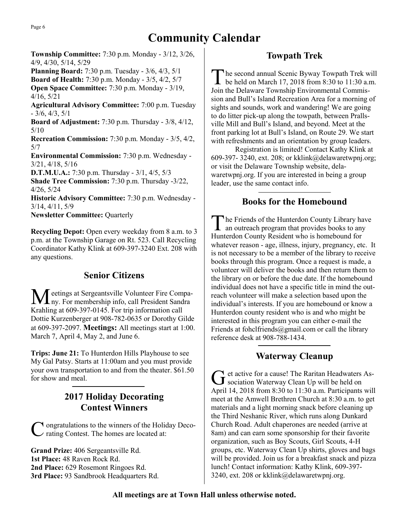# **Community Calendar**

**Township Committee:** 7:30 p.m. Monday - 3/12, 3/26, 4/9, 4/30, 5/14, 5/29

**Planning Board:** 7:30 p.m. Tuesday - 3/6, 4/3, 5/1

**Board of Health:** 7:30 p.m. Monday - 3/5, 4/2, 5/7

**Open Space Committee:** 7:30 p.m. Monday - 3/19, 4/16, 5/21

**Agricultural Advisory Committee:** 7:00 p.m. Tuesday  $-3/6$ ,  $4/3$ ,  $5/1$ 

**Board of Adjustment:** 7:30 p.m. Thursday - 3/8, 4/12, 5/10

**Recreation Commission:** 7:30 p.m. Monday - 3/5, 4/2, 5/7

**Environmental Commission:** 7:30 p.m. Wednesday - 3/21, 4/18, 5/16

**D.T.M.U.A.:** 7:30 p.m. Thursday - 3/1, 4/5, 5/3

**Shade Tree Commission:** 7:30 p.m. Thursday -3/22, 4/26, 5/24

**Historic Advisory Committee:** 7:30 p.m. Wednesday - 3/14, 4/11, 5/9

**Newsletter Committee:** Quarterly

**Recycling Depot:** Open every weekday from 8 a.m. to 3 p.m. at the Township Garage on Rt. 523. Call Recycling Coordinator Kathy Klink at 609-397-3240 Ext. 208 with any questions.

### **Senior Citizens**

eetings at Sergeantsville Volunteer Fire Company. For membership info, call President Sandra Krahling at 609-397-0145. For trip information call Dottie Kurzenberger at 908-782-0635 or Dorothy Gilde at 609-397-2097. **Meetings:** All meetings start at 1:00. March 7, April 4, May 2, and June 6.

**Trips: June 21:** To Hunterdon Hills Playhouse to see My Gal Patsy. Starts at 11:00am and you must provide your own transportation to and from the theater. \$61.50 for show and meal.

### **2017 Holiday Decorating Contest Winners**

C **T** ongratulations to the winners of the Holiday Deco- $\alpha$  rating Contest. The homes are located at:

**Grand Prize:** 406 Sergeantsville Rd. **1st Place:** 48 Raven Rock Rd. **2nd Place:** 629 Rosemont Ringoes Rd. **3rd Place:** 93 Sandbrook Headquarters Rd.

## **Towpath Trek**

T he second annual Scenic Byway Towpath Trek will be held on March 17, 2018 from 8:30 to 11:30 a.m. Join the Delaware Township Environmental Commission and Bull's Island Recreation Area for a morning of sights and sounds, work and wandering! We are going to do litter pick-up along the towpath, between Prallsville Mill and Bull's Island, and beyond. Meet at the front parking lot at Bull's Island, on Route 29. We start with refreshments and an orientation by group leaders.

Registration is limited! Contact Kathy Klink at 609-397- 3240, ext. 208; or kklink@delawaretwpnj.org; or visit the Delaware Township website, delawaretwpnj.org. If you are interested in being a group leader, use the same contact info.

### **Books for the Homebound**

The Friends of the Hunterdon County Library hav<br>an outreach program that provides books to any The Friends of the Hunterdon County Library have Hunterdon County Resident who is homebound for whatever reason - age, illness, injury, pregnancy, etc. It is not necessary to be a member of the library to receive books through this program. Once a request is made, a volunteer will deliver the books and then return them to the library on or before the due date. If the homebound individual does not have a specific title in mind the outreach volunteer will make a selection based upon the individual's interests. If you are homebound or know a Hunterdon county resident who is and who might be interested in this program you can either e-mail the Friends at fohclfriends $@g$ mail.com or call the library reference desk at 908-788-1434.

### **Waterway Cleanup**

G et active for a cause! The Raritan Headwaters<br>Sociation Waterway Clean Up will be held on et active for a cause! The Raritan Headwaters As-April 14, 2018 from 8:30 to 11:30 a.m. Participants will meet at the Amwell Brethren Church at 8:30 a.m. to get materials and a light morning snack before cleaning up the Third Neshanic River, which runs along Dunkard Church Road. Adult chaperones are needed (arrive at 8am) and can earn some sponsorship for their favorite organization, such as Boy Scouts, Girl Scouts, 4-H groups, etc. Waterway Clean Up shirts, gloves and bags will be provided. Join us for a breakfast snack and pizza lunch! Contact information: Kathy Klink, 609-397- 3240, ext. 208 or kklink@delawaretwpnj.org.

#### **All meetings are at Town Hall unless otherwise noted.**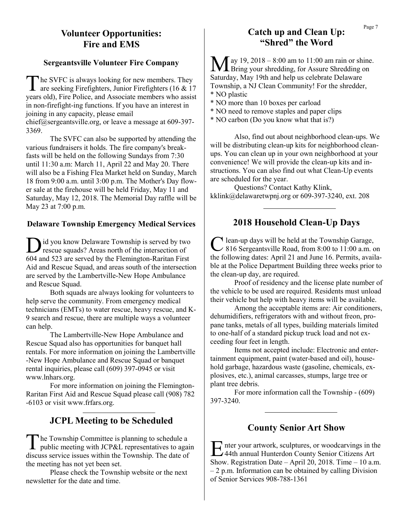### **Volunteer Opportunities: Fire and EMS**

#### **Sergeantsville Volunteer Fire Company**

The SVFC is always looking for new members. They are seeking Firefighters, Junior Firefighters (16 & 17) he SVFC is always looking for new members. They years old), Fire Police, and Associate members who assist in non-firefight-ing functions. If you have an interest in joining in any capacity, please email chief@sergeantsville.org, or leave a message at 609-397- 3369.

The SVFC can also be supported by attending the various fundraisers it holds. The fire company's breakfasts will be held on the following Sundays from 7:30 until 11:30 a.m: March 11, April 22 and May 20. There will also be a Fishing Flea Market held on Sunday, March 18 from 9:00 a.m. until 3:00 p.m. The Mother's Day flower sale at the firehouse will be held Friday, May 11 and Saturday, May 12, 2018. The Memorial Day raffle will be May 23 at 7:00 p.m.

#### **Delaware Township Emergency Medical Services**

D id you know Delaware Township is served by two rescue squads? Areas north of the intersection of 604 and 523 are served by the Flemington-Raritan First Aid and Rescue Squad, and areas south of the intersection are served by the Lambertville-New Hope Ambulance and Rescue Squad.

Both squads are always looking for volunteers to help serve the community. From emergency medical technicians (EMTs) to water rescue, heavy rescue, and K-9 search and rescue, there are multiple ways a volunteer can help.

The Lambertville-New Hope Ambulance and Rescue Squad also has opportunities for banquet hall rentals. For more information on joining the Lambertville -New Hope Ambulance and Rescue Squad or banquet rental inquiries, please call (609) 397-0945 or visit www.lnhars.org.

For more information on joining the Flemington-Raritan First Aid and Rescue Squad please call (908) 782 -6103 or visit www.frfars.org.

### **JCPL Meeting to be Scheduled**

The Township Committee is planning to schedule a<br>public meeting with JCP&L representatives to again he Township Committee is planning to schedule a discuss service issues within the Township. The date of the meeting has not yet been set.

Please check the Township website or the next newsletter for the date and time.

# Catch up and Clean Up: Page 7 **"Shred" the Word**

 $\int$  ay 19, 2018 – 8:00 am to 11:00 am rain or shine. **I** Bring your shredding, for Assure Shredding on Saturday, May 19th and help us celebrate Delaware Township, a NJ Clean Community! For the shredder, \* NO plastic

\* NO more than 10 boxes per carload

- \* NO need to remove staples and paper clips
- \* NO carbon (Do you know what that is?)

Also, find out about neighborhood clean-ups. We will be distributing clean-up kits for neighborhood cleanups. You can clean up in your own neighborhood at your convenience! We will provide the clean-up kits and instructions. You can also find out what Clean-Up events are scheduled for the year.

Questions? Contact Kathy Klink, kklink@delawaretwpnj.org or 609-397-3240, ext. 208

### **2018 Household Clean-Up Days**

C lean-up days will be held at the Township Garage,<br>816 Sergeantsville Road, from 8:00 to 11:00 a.m. on lean-up days will be held at the Township Garage, the following dates: April 21 and June 16. Permits, available at the Police Department Building three weeks prior to the clean-up day, are required.

Proof of residency and the license plate number of the vehicle to be used are required. Residents must unload their vehicle but help with heavy items will be available.

Among the acceptable items are: Air conditioners, dehumidifiers, refrigerators with and without freon, propane tanks, metals of all types, building materials limited to one-half of a standard pickup truck load and not exceeding four feet in length.

Items not accepted include: Electronic and entertainment equipment, paint (water-based and oil), household garbage, hazardous waste (gasoline, chemicals, explosives, etc.), animal carcasses, stumps, large tree or plant tree debris.

For more information call the Township - (609) 397-3240.

### **County Senior Art Show**

Enter your artwork, sculptures, or woodcarvings in the 44th annual Hunterdon County Senior Citizens Art  $\Gamma$  nter your artwork, sculptures, or woodcarvings in the Show. Registration Date – April 20, 2018. Time – 10 a.m. – 2 p.m. Information can be obtained by calling Division of Senior Services 908-788-1361